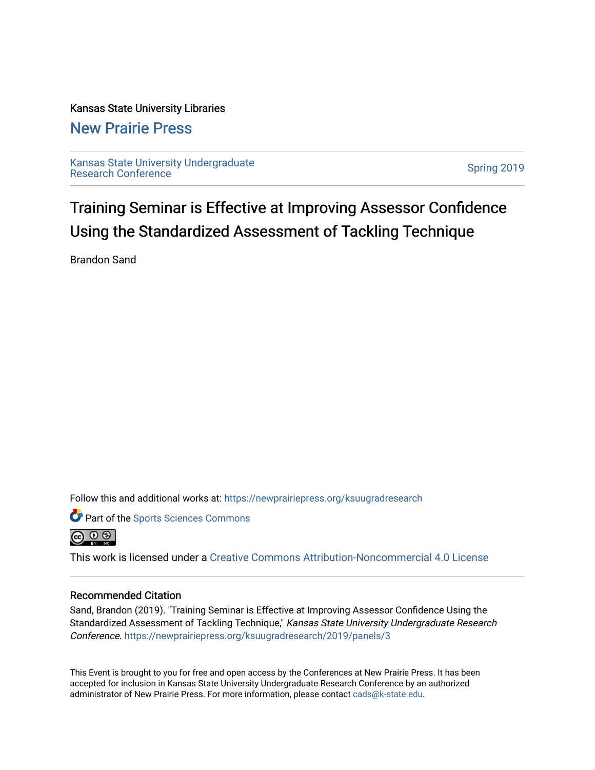### Kansas State University Libraries

### [New Prairie Press](https://newprairiepress.org/)

[Kansas State University Undergraduate](https://newprairiepress.org/ksuugradresearch)  Ransas State University Undergraduate<br>[Research Conference](https://newprairiepress.org/ksuugradresearch)

Training Seminar is Effective at Improving Assessor Confidence Using the Standardized Assessment of Tackling Technique

Brandon Sand

Follow this and additional works at: [https://newprairiepress.org/ksuugradresearch](https://newprairiepress.org/ksuugradresearch?utm_source=newprairiepress.org%2Fksuugradresearch%2F2019%2Fpanels%2F3&utm_medium=PDF&utm_campaign=PDFCoverPages) 

**Part of the Sports Sciences Commons** 



This work is licensed under a [Creative Commons Attribution-Noncommercial 4.0 License](https://creativecommons.org/licenses/by-nc/4.0/)

### Recommended Citation

Sand, Brandon (2019). "Training Seminar is Effective at Improving Assessor Confidence Using the Standardized Assessment of Tackling Technique," Kansas State University Undergraduate Research Conference.<https://newprairiepress.org/ksuugradresearch/2019/panels/3>

This Event is brought to you for free and open access by the Conferences at New Prairie Press. It has been accepted for inclusion in Kansas State University Undergraduate Research Conference by an authorized administrator of New Prairie Press. For more information, please contact [cads@k-state.edu](mailto:cads@k-state.edu).